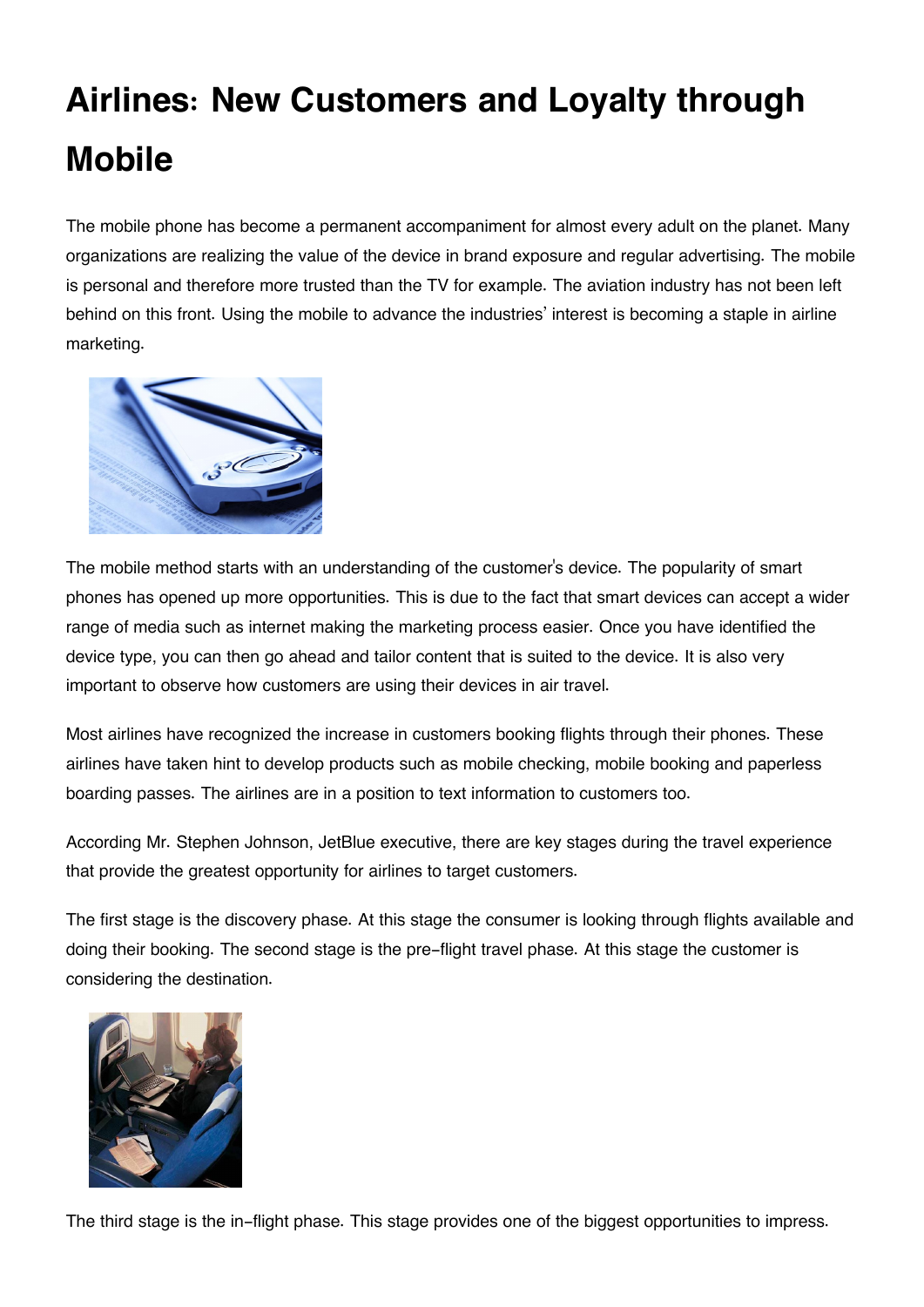## **Airlines: New Customers and Loyalty through Mobile**

The mobile phone has become a permanent accompaniment for almost every adult on the planet. Many organizations are realizing the value of the device in brand exposure and regular advertising. The mobile is personal and therefore more trusted than the TV for example. The aviation industry has not been left behind on this front. Using the mobile to advance the industries' interest is becoming a staple in airline marketing.



The mobile method starts with an understanding of the customer's device. The popularity of smart phones has opened up more opportunities. This is due to the fact that smart devices can accept a wider range of media such as internet making the marketing process easier. Once you have identified the device type, you can then go ahead and tailor content that is suited to the device. It is also very important to observe how customers are using their devices in air travel.

Most airlines have recognized the increase in customers booking flights through their phones. These airlines have taken hint to develop products such as mobile checking, mobile booking and paperless boarding passes. The airlines are in a position to text information to customers too.

According Mr. Stephen Johnson, JetBlue executive, there are key stages during the travel experience that provide the greatest opportunity for airlines to target customers.

The first stage is the discovery phase. At this stage the consumer is looking through flights available and doing their booking. The second stage is the pre-flight travel phase. At this stage the customer is considering the destination.



The third stage is the in-flight phase. This stage provides one of the biggest opportunities to impress.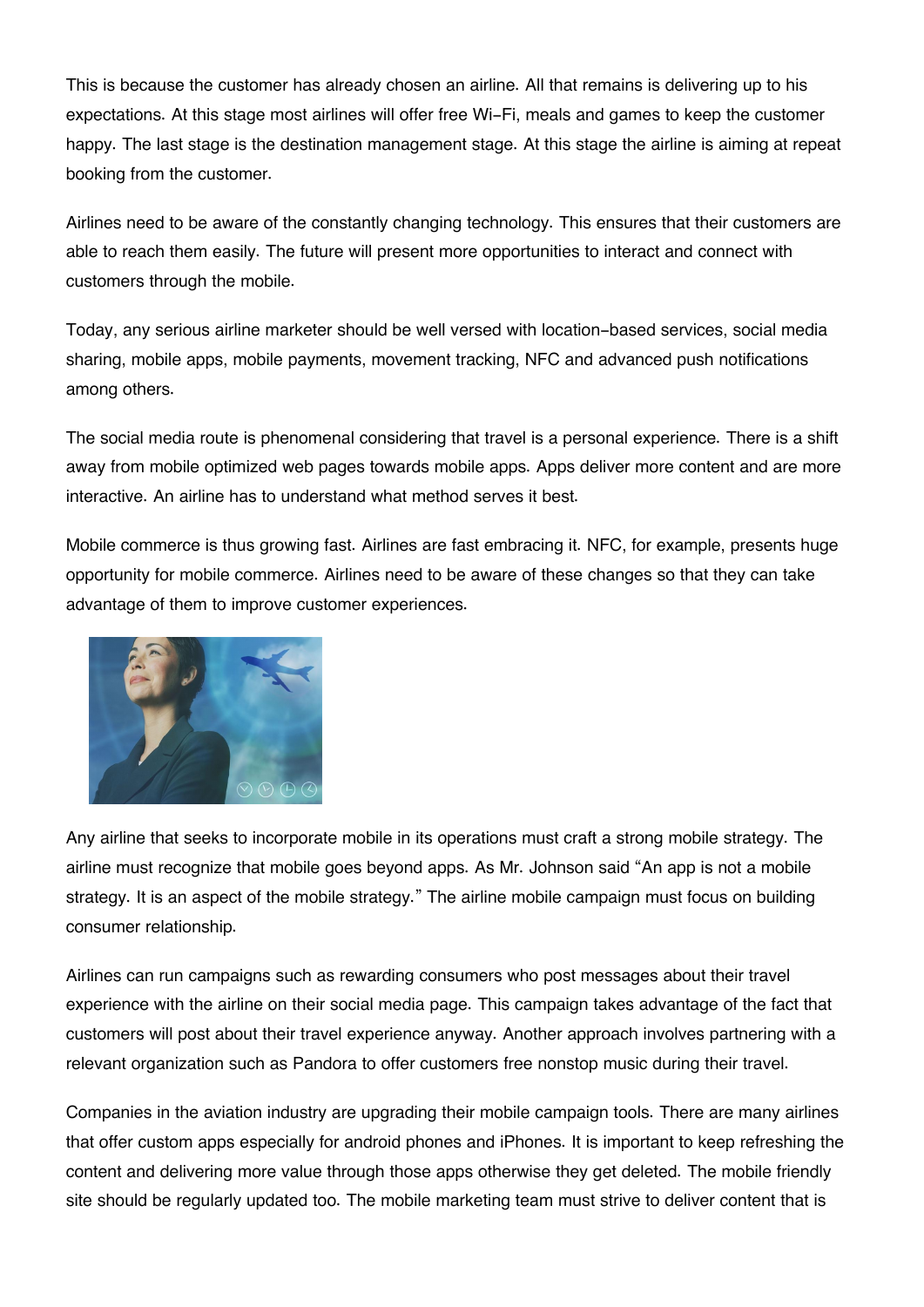This is because the customer has already chosen an airline. All that remains is delivering up to his expectations. At this stage most airlines will offer free Wi-Fi, meals and games to keep the customer happy. The last stage is the destination management stage. At this stage the airline is aiming at repeat booking from the customer.

Airlines need to be aware of the constantly changing technology. This ensures that their customers are able to reach them easily. The future will present more opportunities to interact and connect with customers through the mobile.

Today, any serious airline marketer should be well versed with location-based services, social media sharing, mobile apps, mobile payments, movement tracking, NFC and advanced push notifications among others.

The social media route is phenomenal considering that travel is a personal experience. There is a shift away from mobile optimized web pages towards mobile apps. Apps deliver more content and are more interactive. An airline has to understand what method serves it best.

Mobile commerce is thus growing fast. Airlines are fast embracing it. NFC, for example, presents huge opportunity for mobile commerce. Airlines need to be aware of these changes so that they can take advantage of them to improve customer experiences.



Any airline that seeks to incorporate mobile in its operations must craft a strong mobile strategy. The airline must recognize that mobile goes beyond apps. As Mr. Johnson said "An app is not a mobile strategy. It is an aspect of the mobile strategy." The airline mobile campaign must focus on building consumer relationship.

Airlines can run campaigns such as rewarding consumers who post messages about their travel experience with the airline on their social media page. This campaign takes advantage of the fact that customers will post about their travel experience anyway. Another approach involves partnering with a relevant organization such as Pandora to offer customers free nonstop music during their travel.

Companies in the aviation industry are upgrading their mobile campaign tools. There are many airlines that offer custom apps especially for android phones and iPhones. It is important to keep refreshing the content and delivering more value through those apps otherwise they get deleted. The mobile friendly site should be regularly updated too. The mobile marketing team must strive to deliver content that is